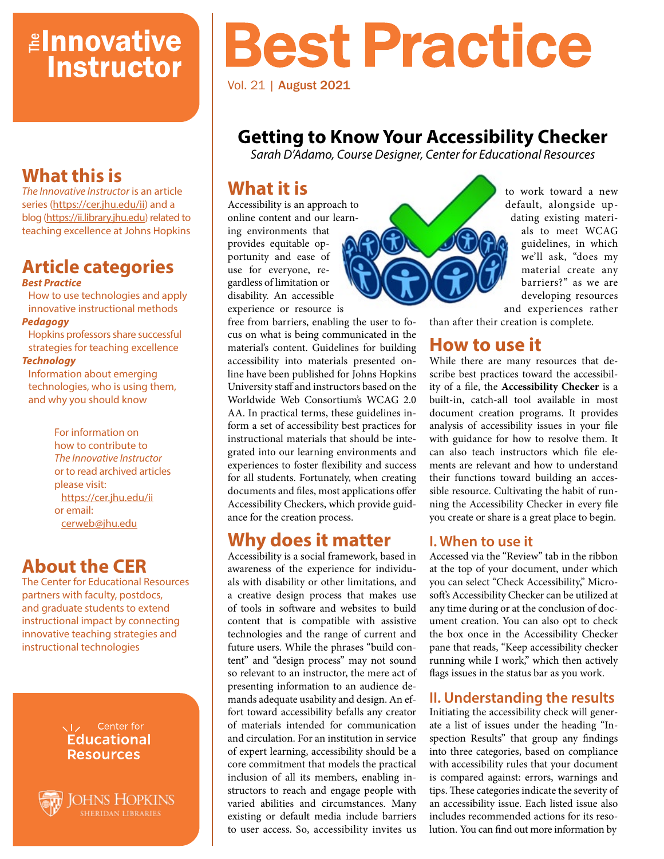## *<u>Elnnovative</u>* **Instructor**

## **What this is**

*The Innovative Instructor* is an article series (<https://cer.jhu.edu/ii>) and a blog [\(https://ii.library.jhu.edu\)](https://ii.library.jhu.edu) related to teaching excellence at Johns Hopkins

#### **Article categories** *Best Practice*

How to use technologies and apply innovative instructional methods

#### *Pedagogy*

Hopkins professors share successful strategies for teaching excellence

#### *Technology*

Information about emerging technologies, who is using them, and why you should know

> For information on how to contribute to *The Innovative Instructor* or to read archived articles please visit: <https://cer.jhu.edu/ii> or email: [cerweb@jhu.edu](mailto:cerweb%40jhu.edu?subject=Innovative%20Instructor%20inquiry)

## **About the CER**

The Center for Educational Resources partners with faculty, postdocs, and graduate students to extend instructional impact by connecting innovative teaching strategies and instructional technologies

> VI<sub>z</sub> Center for **Educational Resources**

**JOHNS HOPKINS** 

# Best Practice

Vol. 21 | August 2021

## **Getting to Know Your Accessibility Checker**

*Sarah D'Adamo, Course Designer, Center for Educational Resources*

## **What it is**

Accessibility is an approach to online content and our learning environments that provides equitable opportunity and ease of use for everyone, regardless of limitation or disability. An accessible experience or resource is



to work toward a new default, alongside updating existing materials to meet WCAG guidelines, in which we'll ask, "does my material create any barriers?" as we are developing resources and experiences rather

than after their creation is complete.

## **How to use it**

While there are many resources that describe best practices toward the accessibility of a file, the **Accessibility Checker** is a built-in, catch-all tool available in most document creation programs. It provides analysis of accessibility issues in your file with guidance for how to resolve them. It can also teach instructors which file elements are relevant and how to understand their functions toward building an accessible resource. Cultivating the habit of running the Accessibility Checker in every file you create or share is a great place to begin.

#### **I. When to use it**

Accessed via the "Review" tab in the ribbon at the top of your document, under which you can select "Check Accessibility," Microsoft's Accessibility Checker can be utilized at any time during or at the conclusion of document creation. You can also opt to check the box once in the Accessibility Checker pane that reads, "Keep accessibility checker running while I work," which then actively flags issues in the status bar as you work.

### **II. Understanding the results**

Initiating the accessibility check will generate a list of issues under the heading "Inspection Results" that group any findings into three categories, based on compliance with accessibility rules that your document is compared against: errors, warnings and tips. These categories indicate the severity of an accessibility issue. Each listed issue also includes recommended actions for its resolution. You can find out more information by

free from barriers, enabling the user to focus on what is being communicated in the material's content. Guidelines for building accessibility into materials presented online have been published for Johns Hopkins University staff and instructors based on the Worldwide Web Consortium's WCAG 2.0 AA. In practical terms, these guidelines inform a set of accessibility best practices for instructional materials that should be integrated into our learning environments and experiences to foster flexibility and success for all students. Fortunately, when creating documents and files, most applications offer Accessibility Checkers, which provide guidance for the creation process.

## **Why does it matter**

Accessibility is a social framework, based in awareness of the experience for individuals with disability or other limitations, and a creative design process that makes use of tools in software and websites to build content that is compatible with assistive technologies and the range of current and future users. While the phrases "build content" and "design process" may not sound so relevant to an instructor, the mere act of presenting information to an audience demands adequate usability and design. An effort toward accessibility befalls any creator of materials intended for communication and circulation. For an institution in service of expert learning, accessibility should be a core commitment that models the practical inclusion of all its members, enabling instructors to reach and engage people with varied abilities and circumstances. Many existing or default media include barriers to user access. So, accessibility invites us